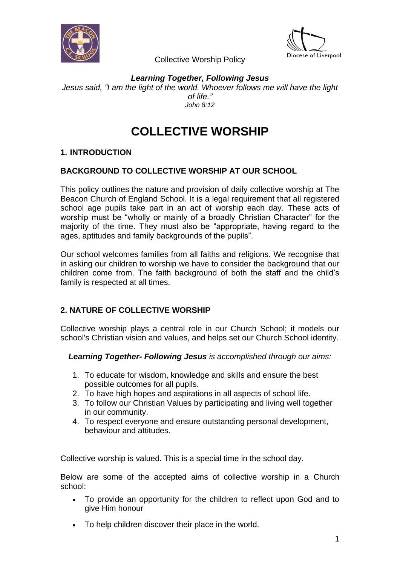



*Learning Together, Following Jesus Jesus said, "I am the light of the world. Whoever follows me will have the light of life." John 8:12*

# **COLLECTIVE WORSHIP**

# **1. INTRODUCTION**

# **BACKGROUND TO COLLECTIVE WORSHIP AT OUR SCHOOL**

This policy outlines the nature and provision of daily collective worship at The Beacon Church of England School. It is a legal requirement that all registered school age pupils take part in an act of worship each day. These acts of worship must be "wholly or mainly of a broadly Christian Character" for the majority of the time. They must also be "appropriate, having regard to the ages, aptitudes and family backgrounds of the pupils".

Our school welcomes families from all faiths and religions. We recognise that in asking our children to worship we have to consider the background that our children come from. The faith background of both the staff and the child's family is respected at all times.

# **2. NATURE OF COLLECTIVE WORSHIP**

Collective worship plays a central role in our Church School; it models our school's Christian vision and values, and helps set our Church School identity.

*Learning Together- Following Jesus is accomplished through our aims:*

- 1. To educate for wisdom, knowledge and skills and ensure the best possible outcomes for all pupils.
- 2. To have high hopes and aspirations in all aspects of school life.
- 3. To follow our Christian Values by participating and living well together in our community.
- 4. To respect everyone and ensure outstanding personal development, behaviour and attitudes.

Collective worship is valued. This is a special time in the school day.

Below are some of the accepted aims of collective worship in a Church school:

- To provide an opportunity for the children to reflect upon God and to give Him honour
- To help children discover their place in the world.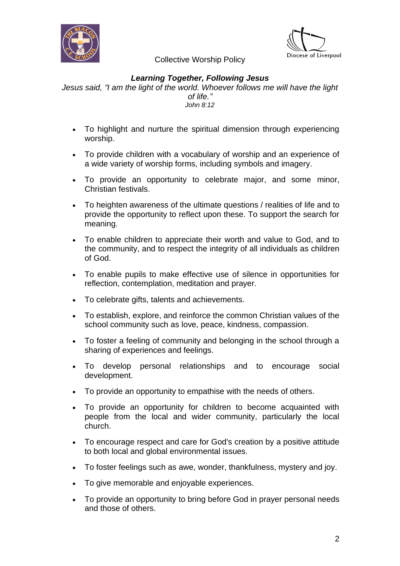



## *Learning Together, Following Jesus*

*Jesus said, "I am the light of the world. Whoever follows me will have the light of life." John 8:12*

- To highlight and nurture the spiritual dimension through experiencing worship.
- To provide children with a vocabulary of worship and an experience of a wide variety of worship forms, including symbols and imagery.
- To provide an opportunity to celebrate major, and some minor, Christian festivals.
- To heighten awareness of the ultimate questions / realities of life and to provide the opportunity to reflect upon these. To support the search for meaning.
- To enable children to appreciate their worth and value to God, and to the community, and to respect the integrity of all individuals as children of God.
- To enable pupils to make effective use of silence in opportunities for reflection, contemplation, meditation and prayer.
- To celebrate gifts, talents and achievements.
- To establish, explore, and reinforce the common Christian values of the school community such as love, peace, kindness, compassion.
- To foster a feeling of community and belonging in the school through a sharing of experiences and feelings.
- To develop personal relationships and to encourage social development.
- To provide an opportunity to empathise with the needs of others.
- To provide an opportunity for children to become acquainted with people from the local and wider community, particularly the local church.
- To encourage respect and care for God's creation by a positive attitude to both local and global environmental issues.
- To foster feelings such as awe, wonder, thankfulness, mystery and joy.
- To give memorable and enjoyable experiences.
- To provide an opportunity to bring before God in prayer personal needs and those of others.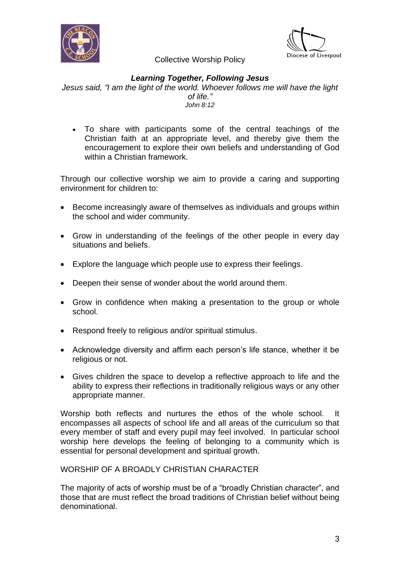



#### *Learning Together, Following Jesus*

*Jesus said, "I am the light of the world. Whoever follows me will have the light of life." John 8:12*

• To share with participants some of the central teachings of the Christian faith at an appropriate level, and thereby give them the encouragement to explore their own beliefs and understanding of God within a Christian framework.

Through our collective worship we aim to provide a caring and supporting environment for children to:

- Become increasingly aware of themselves as individuals and groups within the school and wider community.
- Grow in understanding of the feelings of the other people in every day situations and beliefs.
- Explore the language which people use to express their feelings.
- Deepen their sense of wonder about the world around them.
- Grow in confidence when making a presentation to the group or whole school.
- Respond freely to religious and/or spiritual stimulus.
- Acknowledge diversity and affirm each person's life stance, whether it be religious or not.
- Gives children the space to develop a reflective approach to life and the ability to express their reflections in traditionally religious ways or any other appropriate manner.

Worship both reflects and nurtures the ethos of the whole school. It encompasses all aspects of school life and all areas of the curriculum so that every member of staff and every pupil may feel involved. In particular school worship here develops the feeling of belonging to a community which is essential for personal development and spiritual growth.

WORSHIP OF A BROADLY CHRISTIAN CHARACTER

The majority of acts of worship must be of a "broadly Christian character", and those that are must reflect the broad traditions of Christian belief without being denominational.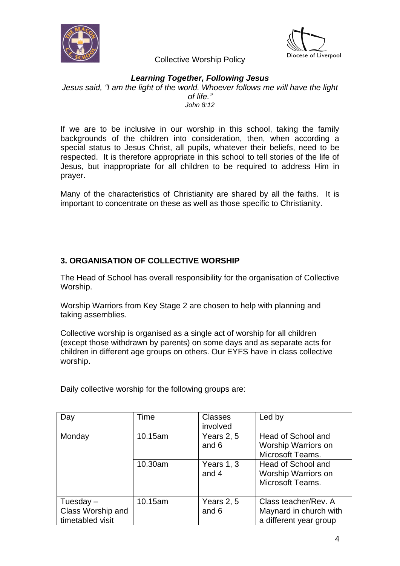



#### *Learning Together, Following Jesus*

*Jesus said, "I am the light of the world. Whoever follows me will have the light of life." John 8:12*

If we are to be inclusive in our worship in this school, taking the family backgrounds of the children into consideration, then, when according a special status to Jesus Christ, all pupils, whatever their beliefs, need to be respected. It is therefore appropriate in this school to tell stories of the life of Jesus, but inappropriate for all children to be required to address Him in prayer.

Many of the characteristics of Christianity are shared by all the faiths. It is important to concentrate on these as well as those specific to Christianity.

# **3. ORGANISATION OF COLLECTIVE WORSHIP**

The Head of School has overall responsibility for the organisation of Collective Worship.

Worship Warriors from Key Stage 2 are chosen to help with planning and taking assemblies.

Collective worship is organised as a single act of worship for all children (except those withdrawn by parents) on some days and as separate acts for children in different age groups on others. Our EYFS have in class collective worship.

Daily collective worship for the following groups are:

| Day                                                  | Time    | <b>Classes</b><br>involved | Led by                                                                   |
|------------------------------------------------------|---------|----------------------------|--------------------------------------------------------------------------|
| Monday                                               | 10.15am | Years 2, 5<br>and 6        | Head of School and<br>Worship Warriors on<br>Microsoft Teams.            |
|                                                      | 10.30am | Years 1, 3<br>and 4        | Head of School and<br>Worship Warriors on<br>Microsoft Teams.            |
| Tuesday $-$<br>Class Worship and<br>timetabled visit | 10.15am | Years 2, 5<br>and 6        | Class teacher/Rev. A<br>Maynard in church with<br>a different year group |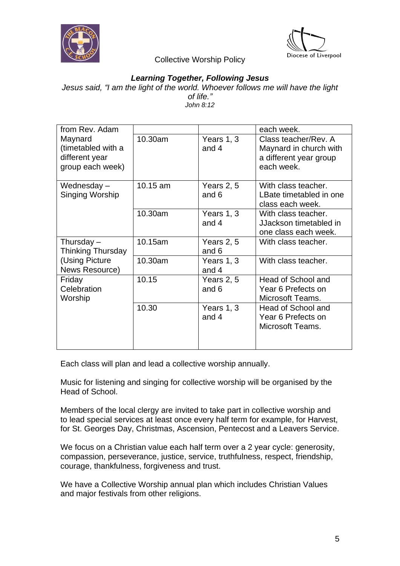



#### *Learning Together, Following Jesus*

*Jesus said, "I am the light of the world. Whoever follows me will have the light of life." John 8:12*

| from Rev. Adam           |          |              | each week.              |
|--------------------------|----------|--------------|-------------------------|
| Maynard                  | 10.30am  | Years 1, 3   | Class teacher/Rev. A    |
| (timetabled with a       |          | and 4        | Maynard in church with  |
| different year           |          |              | a different year group  |
| group each week)         |          |              | each week.              |
| Wednesday-               | 10.15 am | Years 2, 5   | With class teacher.     |
| Singing Worship          |          | and 6        | LBate timetabled in one |
|                          |          |              | class each week.        |
|                          | 10.30am  | Years 1, 3   | With class teacher.     |
|                          |          | and 4        | JJackson timetabled in  |
|                          |          |              | one class each week.    |
|                          |          |              |                         |
| Thursday $-$             | 10.15am  | Years 2, 5   | With class teacher.     |
| <b>Thinking Thursday</b> |          | and 6        |                         |
| (Using Picture)          | 10.30am  | Years 1, 3   | With class teacher.     |
| News Resource)           |          | and 4        |                         |
| Friday                   | 10.15    | Years $2, 5$ | Head of School and      |
| Celebration              |          | and 6        | Year 6 Prefects on      |
| Worship                  |          |              | Microsoft Teams.        |
|                          | 10.30    | Years 1, 3   | Head of School and      |
|                          |          | and 4        | Year 6 Prefects on      |
|                          |          |              | Microsoft Teams.        |
|                          |          |              |                         |
|                          |          |              |                         |

Each class will plan and lead a collective worship annually.

Music for listening and singing for collective worship will be organised by the Head of School.

Members of the local clergy are invited to take part in collective worship and to lead special services at least once every half term for example, for Harvest, for St. Georges Day, Christmas, Ascension, Pentecost and a Leavers Service.

We focus on a Christian value each half term over a 2 year cycle: generosity, compassion, perseverance, justice, service, truthfulness, respect, friendship, courage, thankfulness, forgiveness and trust.

We have a Collective Worship annual plan which includes Christian Values and major festivals from other religions.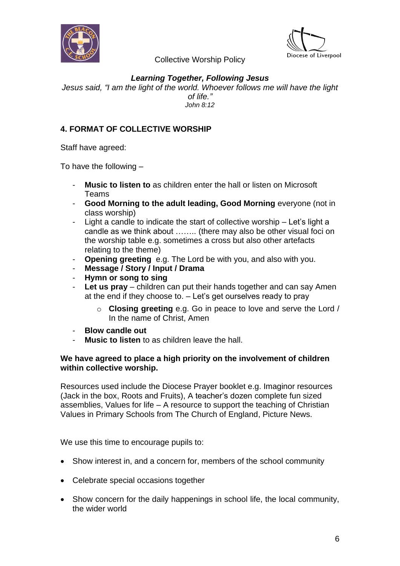



## *Learning Together, Following Jesus*

*Jesus said, "I am the light of the world. Whoever follows me will have the light of life." John 8:12*

#### **4. FORMAT OF COLLECTIVE WORSHIP**

Staff have agreed:

To have the following –

- **Music to listen to** as children enter the hall or listen on Microsoft Teams
- **Good Morning to the adult leading, Good Morning** everyone (not in class worship)
- Light a candle to indicate the start of collective worship Let's light a candle as we think about …….. (there may also be other visual foci on the worship table e.g. sometimes a cross but also other artefacts relating to the theme)
- **Opening greeting** e.g. The Lord be with you, and also with you.
- **Message / Story / Input / Drama**
- **Hymn or song to sing**
- **Let us pray** children can put their hands together and can say Amen at the end if they choose to. – Let's get ourselves ready to pray
	- o **Closing greeting** e.g. Go in peace to love and serve the Lord / In the name of Christ, Amen
- **Blow candle out**
- **Music to listen** to as children leave the hall.

#### **We have agreed to place a high priority on the involvement of children within collective worship.**

Resources used include the Diocese Prayer booklet e.g. Imaginor resources (Jack in the box, Roots and Fruits), A teacher's dozen complete fun sized assemblies, Values for life – A resource to support the teaching of Christian Values in Primary Schools from The Church of England, Picture News.

We use this time to encourage pupils to:

- Show interest in, and a concern for, members of the school community
- Celebrate special occasions together
- Show concern for the daily happenings in school life, the local community, the wider world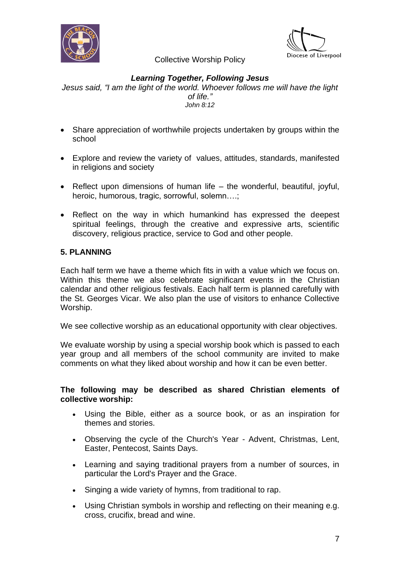



# *Learning Together, Following Jesus*

*Jesus said, "I am the light of the world. Whoever follows me will have the light of life." John 8:12*

- Share appreciation of worthwhile projects undertaken by groups within the school
- Explore and review the variety of values, attitudes, standards, manifested in religions and society
- Reflect upon dimensions of human life the wonderful, beautiful, joyful, heroic, humorous, tragic, sorrowful, solemn….;
- Reflect on the way in which humankind has expressed the deepest spiritual feelings, through the creative and expressive arts, scientific discovery, religious practice, service to God and other people.

# **5. PLANNING**

Each half term we have a theme which fits in with a value which we focus on. Within this theme we also celebrate significant events in the Christian calendar and other religious festivals. Each half term is planned carefully with the St. Georges Vicar. We also plan the use of visitors to enhance Collective Worship.

We see collective worship as an educational opportunity with clear objectives.

We evaluate worship by using a special worship book which is passed to each year group and all members of the school community are invited to make comments on what they liked about worship and how it can be even better.

#### **The following may be described as shared Christian elements of collective worship:**

- Using the Bible, either as a source book, or as an inspiration for themes and stories.
- Observing the cycle of the Church's Year Advent, Christmas, Lent, Easter, Pentecost, Saints Days.
- Learning and saying traditional prayers from a number of sources, in particular the Lord's Prayer and the Grace.
- Singing a wide variety of hymns, from traditional to rap.
- Using Christian symbols in worship and reflecting on their meaning e.g. cross, crucifix, bread and wine.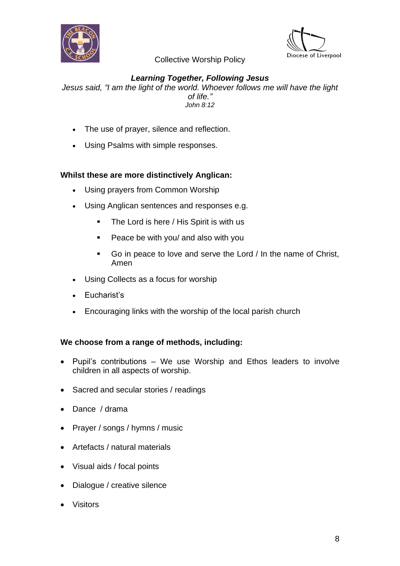



# *Learning Together, Following Jesus*

*Jesus said, "I am the light of the world. Whoever follows me will have the light of life." John 8:12*

- The use of prayer, silence and reflection.
- Using Psalms with simple responses.

# **Whilst these are more distinctively Anglican:**

- Using prayers from Common Worship
- Using Anglican sentences and responses e.g.
	- The Lord is here / His Spirit is with us
	- Peace be with you/ and also with you
	- Go in peace to love and serve the Lord / In the name of Christ, Amen
- Using Collects as a focus for worship
- Eucharist's
- Encouraging links with the worship of the local parish church

#### **We choose from a range of methods, including:**

- Pupil's contributions We use Worship and Ethos leaders to involve children in all aspects of worship.
- Sacred and secular stories / readings
- Dance / drama
- Prayer / songs / hymns / music
- Artefacts / natural materials
- Visual aids / focal points
- Dialogue / creative silence
- Visitors